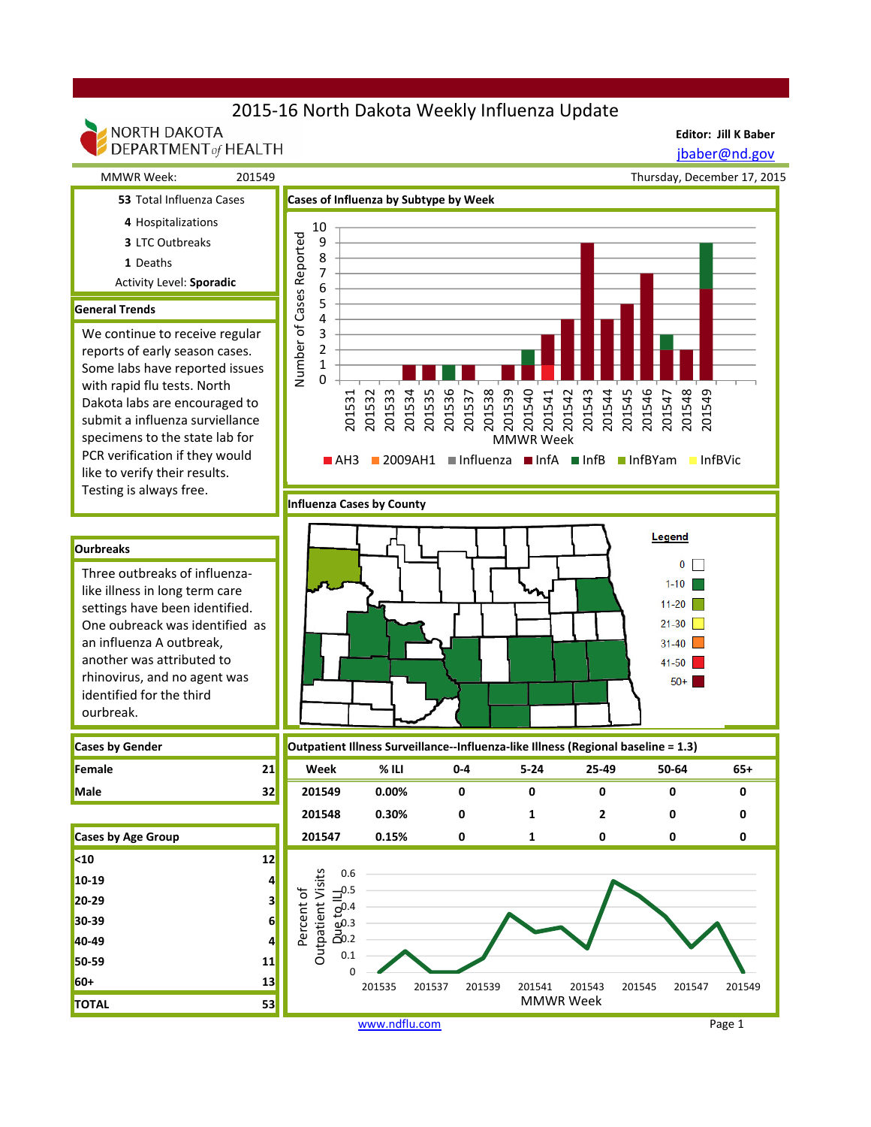# 2015-16 North Dakota Weekly Influenza Update

### NORTH DAKOTA DEPARTMENT of HEALTH

**Editor: Jill K Baber** jbaber@nd.gov

 MMWR Week: 201549 **53** Total Influenza Cases **Cases of Influenza by Subtype by Week** 

**Influenza Cases by County**



- **4** Hospitalizations
- **3** LTC Outbreaks
- **1** Deaths
- Activity Level: **Sporadic**

### **General Trends**

We continue to receive regular reports of early season cases. Some labs have reported issues with rapid flu tests. North Dakota labs are encouraged to submit a influenza surviellance specimens to the state lab for PCR verification if they would like to verify their results. Testing is always free.



### **Ourbreaks**

Three outbreaks of influenzalike illness in long term care settings have been identified. One oubreack was identified as an influenza A outbreak, another was attributed to rhinovirus, and no agent was identified for the third ourbreak.

| <b>Cases by Gender</b> |  |
|------------------------|--|
| Female                 |  |
| Male                   |  |

**<10 12 10-19 4 20-29 3 30-39 6 40-49 4 50-59 11 60+ 13 TOTAL 53**



| Female             | 21 | Week   | $%$ ILI | $0 - 4$ | $5 - 24$ | 25-49 | 50-64 | 65+ |  |
|--------------------|----|--------|---------|---------|----------|-------|-------|-----|--|
| Male               | 32 | 201549 | 0.00%   |         |          |       |       |     |  |
|                    |    | 201548 | 0.30%   |         |          |       |       |     |  |
| Cases by Age Group |    | 201547 | 0.15%   |         |          |       |       |     |  |

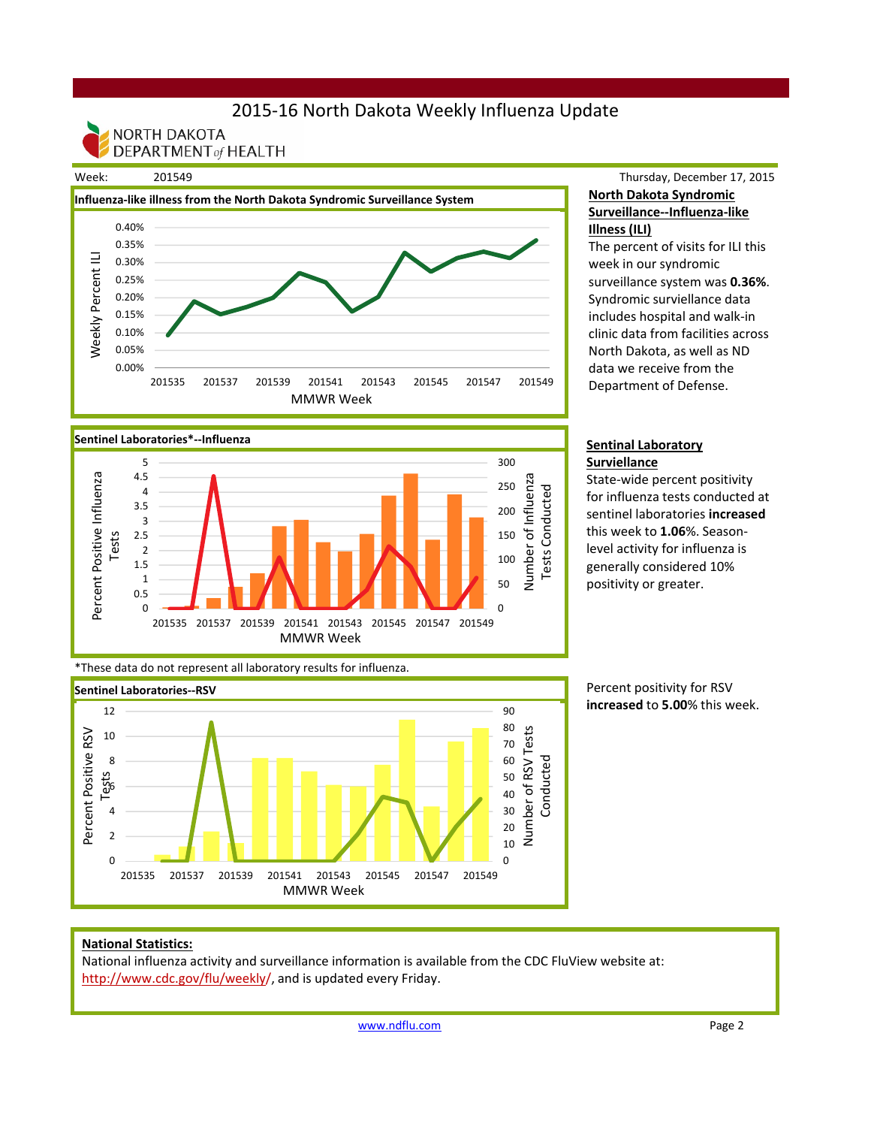# 2015-16 North Dakota Weekly Influenza Update

NORTH DAKOTA **DEPARTMENT of HEALTH** 



## Thursday, December 17, 2015 **North Dakota Syndromic Surveillance--Influenza-like Illness (ILI)**

The percent of visits for ILI this week in our syndromic surveillance system was **0.36%**. Syndromic surviellance data includes hospital and walk-in clinic data from facilities across North Dakota, as well as ND data we receive from the Department of Defense.

#### **Sentinal Laboratory Surviellance**

State-wide percent positivity for influenza tests conducted at sentinel laboratories **increased**  this week to **1.06**%. Seasonlevel activity for influenza is generally considered 10% positivity or greater.



\*These data do not represent all laboratory results for influenza.



Percent positivity for RSV **increased** to **5.00**% this week.

### **National Statistics:**

National influenza activity and surveillance information is available from the CDC FluView website at: http://www.cdc.gov/flu/weekly/, and is updated every Friday.

www.ndflu.com Page 2